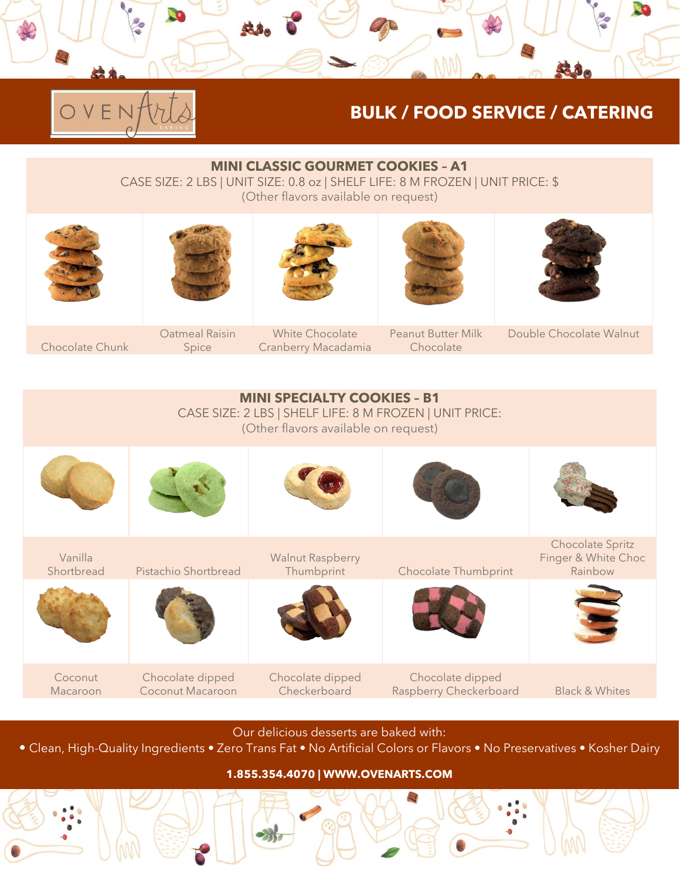

## **BULK / FOOD SERVICE / CATERING**

**MM** 

## **MINI CLASSIC GOURMET COOKIES – A1** CASE SIZE: 2 LBS | UNIT SIZE: 0.8 oz | SHELF LIFE: 8 M FROZEN | UNIT PRICE: \$ (Other flavors available on request) Chocolate Chunk Oatmeal Raisin Spice White Chocolate Cranberry Macadamia Peanut Butter Milk **Chocolate** Double Chocolate Walnut



Our delicious desserts are baked with:

• Clean, High-Quality Ingredients • Zero Trans Fat • No Artificial Colors or Flavors • No Preservatives • Kosher Dairy

**1.855.354.4070 | WWW.OVENARTS.COM**